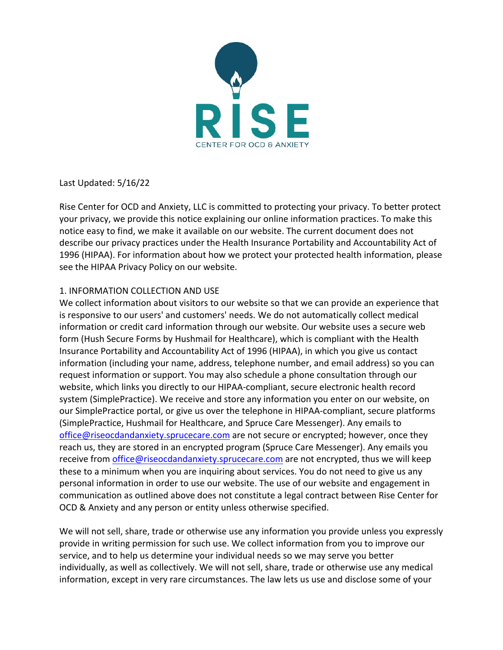

Last Updated: 5/16/22

Rise Center for OCD and Anxiety, LLC is committed to protecting your privacy. To better protect your privacy, we provide this notice explaining our online information practices. To make this notice easy to find, we make it available on our website. The current document does not describe our privacy practices under the Health Insurance Portability and Accountability Act of 1996 (HIPAA). For information about how we protect your protected health information, please see the HIPAA Privacy Policy on our website.

## 1. INFORMATION COLLECTION AND USE

We collect information about visitors to our website so that we can provide an experience that is responsive to our users' and customers' needs. We do not automatically collect medical information or credit card information through our website. Our website uses a secure web form (Hush Secure Forms by Hushmail for Healthcare), which is compliant with the Health Insurance Portability and Accountability Act of 1996 (HIPAA), in which you give us contact information (including your name, address, telephone number, and email address) so you can request information or support. You may also schedule a phone consultation through our website, which links you directly to our HIPAA-compliant, secure electronic health record system (SimplePractice). We receive and store any information you enter on our website, on our SimplePractice portal, or give us over the telephone in HIPAA-compliant, secure platforms (SimplePractice, Hushmail for Healthcare, and Spruce Care Messenger). Any emails to office@riseocdandanxiety.sprucecare.com are not secure or encrypted; however, once they reach us, they are stored in an encrypted program (Spruce Care Messenger). Any emails you receive from *office@riseocdandanxiety.sprucecare.com* are not encrypted, thus we will keep these to a minimum when you are inquiring about services. You do not need to give us any personal information in order to use our website. The use of our website and engagement in communication as outlined above does not constitute a legal contract between Rise Center for OCD & Anxiety and any person or entity unless otherwise specified.

We will not sell, share, trade or otherwise use any information you provide unless you expressly provide in writing permission for such use. We collect information from you to improve our service, and to help us determine your individual needs so we may serve you better individually, as well as collectively. We will not sell, share, trade or otherwise use any medical information, except in very rare circumstances. The law lets us use and disclose some of your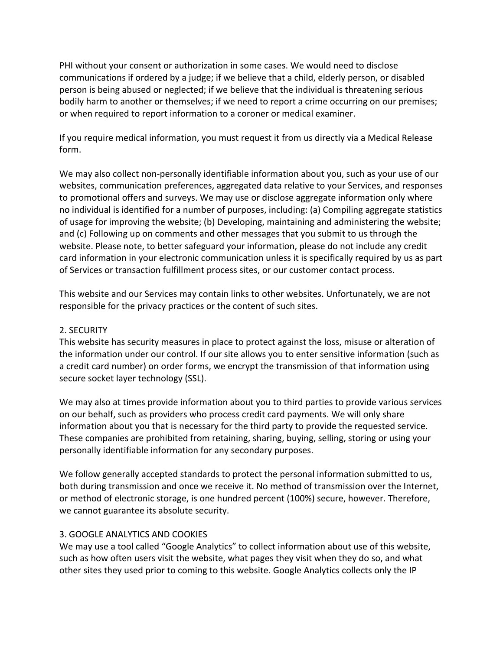PHI without your consent or authorization in some cases. We would need to disclose communications if ordered by a judge; if we believe that a child, elderly person, or disabled person is being abused or neglected; if we believe that the individual is threatening serious bodily harm to another or themselves; if we need to report a crime occurring on our premises; or when required to report information to a coroner or medical examiner.

If you require medical information, you must request it from us directly via a Medical Release form.

We may also collect non-personally identifiable information about you, such as your use of our websites, communication preferences, aggregated data relative to your Services, and responses to promotional offers and surveys. We may use or disclose aggregate information only where no individual is identified for a number of purposes, including: (a) Compiling aggregate statistics of usage for improving the website; (b) Developing, maintaining and administering the website; and (c) Following up on comments and other messages that you submit to us through the website. Please note, to better safeguard your information, please do not include any credit card information in your electronic communication unless it is specifically required by us as part of Services or transaction fulfillment process sites, or our customer contact process.

This website and our Services may contain links to other websites. Unfortunately, we are not responsible for the privacy practices or the content of such sites.

# 2. SECURITY

This website has security measures in place to protect against the loss, misuse or alteration of the information under our control. If our site allows you to enter sensitive information (such as a credit card number) on order forms, we encrypt the transmission of that information using secure socket layer technology (SSL).

We may also at times provide information about you to third parties to provide various services on our behalf, such as providers who process credit card payments. We will only share information about you that is necessary for the third party to provide the requested service. These companies are prohibited from retaining, sharing, buying, selling, storing or using your personally identifiable information for any secondary purposes.

We follow generally accepted standards to protect the personal information submitted to us, both during transmission and once we receive it. No method of transmission over the Internet, or method of electronic storage, is one hundred percent (100%) secure, however. Therefore, we cannot guarantee its absolute security.

# 3. GOOGLE ANALYTICS AND COOKIES

We may use a tool called "Google Analytics" to collect information about use of this website, such as how often users visit the website, what pages they visit when they do so, and what other sites they used prior to coming to this website. Google Analytics collects only the IP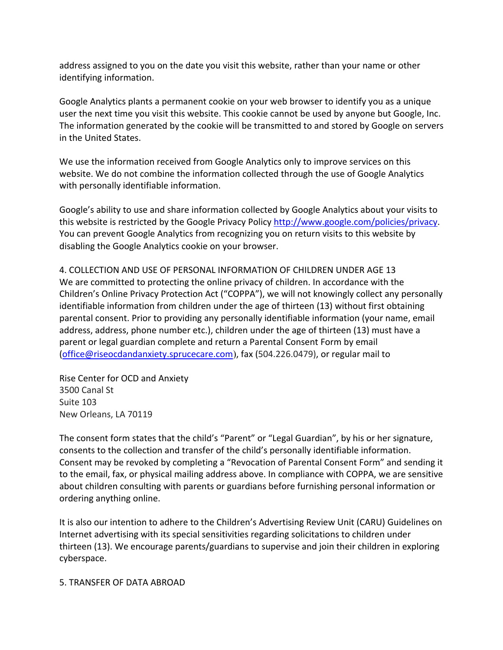address assigned to you on the date you visit this website, rather than your name or other identifying information.

Google Analytics plants a permanent cookie on your web browser to identify you as a unique user the next time you visit this website. This cookie cannot be used by anyone but Google, Inc. The information generated by the cookie will be transmitted to and stored by Google on servers in the United States.

We use the information received from Google Analytics only to improve services on this website. We do not combine the information collected through the use of Google Analytics with personally identifiable information.

Google's ability to use and share information collected by Google Analytics about your visits to this website is restricted by the Google Privacy Policy http://www.google.com/policies/privacy. You can prevent Google Analytics from recognizing you on return visits to this website by disabling the Google Analytics cookie on your browser.

4. COLLECTION AND USE OF PERSONAL INFORMATION OF CHILDREN UNDER AGE 13 We are committed to protecting the online privacy of children. In accordance with the Children's Online Privacy Protection Act ("COPPA"), we will not knowingly collect any personally identifiable information from children under the age of thirteen (13) without first obtaining parental consent. Prior to providing any personally identifiable information (your name, email address, address, phone number etc.), children under the age of thirteen (13) must have a parent or legal guardian complete and return a Parental Consent Form by email (office@riseocdandanxiety.sprucecare.com), fax (504.226.0479), or regular mail to

Rise Center for OCD and Anxiety 3500 Canal St Suite 103 New Orleans, LA 70119

The consent form states that the child's "Parent" or "Legal Guardian", by his or her signature, consents to the collection and transfer of the child's personally identifiable information. Consent may be revoked by completing a "Revocation of Parental Consent Form" and sending it to the email, fax, or physical mailing address above. In compliance with COPPA, we are sensitive about children consulting with parents or guardians before furnishing personal information or ordering anything online.

It is also our intention to adhere to the Children's Advertising Review Unit (CARU) Guidelines on Internet advertising with its special sensitivities regarding solicitations to children under thirteen (13). We encourage parents/guardians to supervise and join their children in exploring cyberspace.

#### 5. TRANSFER OF DATA ABROAD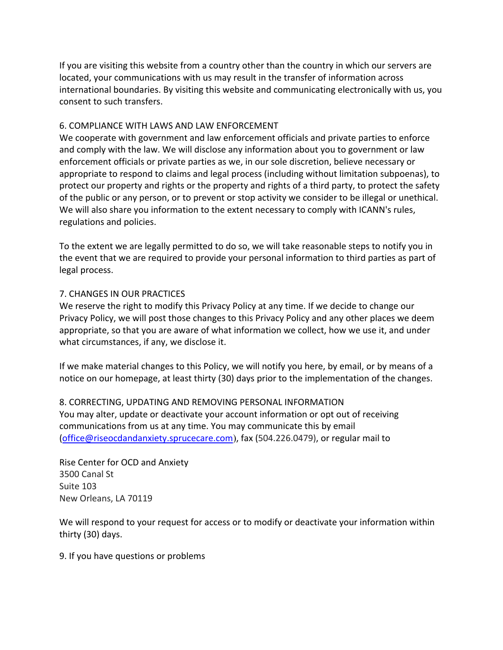If you are visiting this website from a country other than the country in which our servers are located, your communications with us may result in the transfer of information across international boundaries. By visiting this website and communicating electronically with us, you consent to such transfers.

## 6. COMPLIANCE WITH LAWS AND LAW ENFORCEMENT

We cooperate with government and law enforcement officials and private parties to enforce and comply with the law. We will disclose any information about you to government or law enforcement officials or private parties as we, in our sole discretion, believe necessary or appropriate to respond to claims and legal process (including without limitation subpoenas), to protect our property and rights or the property and rights of a third party, to protect the safety of the public or any person, or to prevent or stop activity we consider to be illegal or unethical. We will also share you information to the extent necessary to comply with ICANN's rules, regulations and policies.

To the extent we are legally permitted to do so, we will take reasonable steps to notify you in the event that we are required to provide your personal information to third parties as part of legal process.

### 7. CHANGES IN OUR PRACTICES

We reserve the right to modify this Privacy Policy at any time. If we decide to change our Privacy Policy, we will post those changes to this Privacy Policy and any other places we deem appropriate, so that you are aware of what information we collect, how we use it, and under what circumstances, if any, we disclose it.

If we make material changes to this Policy, we will notify you here, by email, or by means of a notice on our homepage, at least thirty (30) days prior to the implementation of the changes.

8. CORRECTING, UPDATING AND REMOVING PERSONAL INFORMATION You may alter, update or deactivate your account information or opt out of receiving communications from us at any time. You may communicate this by email (office@riseocdandanxiety.sprucecare.com), fax (504.226.0479), or regular mail to

Rise Center for OCD and Anxiety 3500 Canal St Suite 103 New Orleans, LA 70119

We will respond to your request for access or to modify or deactivate your information within thirty (30) days.

9. If you have questions or problems